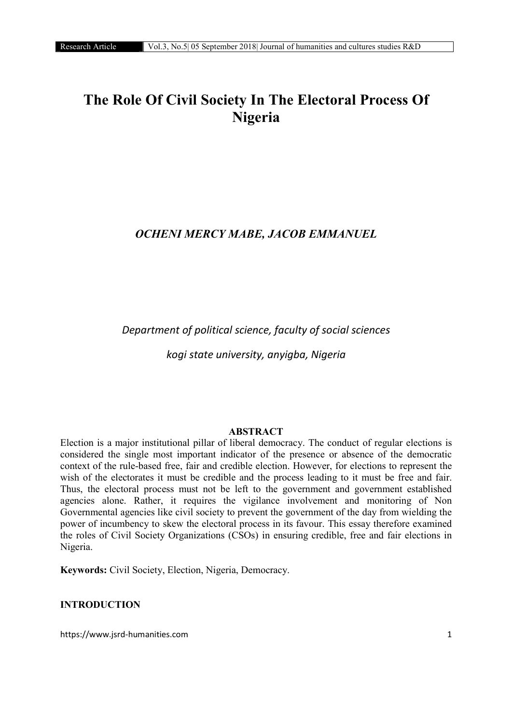# The Role Of Civil Society In The Electoral Process Of Nigeria

## *OCHENI MERCY MABE, JACOB EMMANUEL*

*Department of political science, faculty of social sciences*

*kogi state university, anyigba, Nigeria*

#### ABSTRACT

Election is a major institutional pillar of liberal democracy. The conduct of regular elections is considered the single most important indicator of the presence or absence of the democratic context of the rule-based free, fair and credible election. However, for elections to represent the wish of the electorates it must be credible and the process leading to it must be free and fair. Thus, the electoral process must not be left to the government and government established agencies alone. Rather, it requires the vigilance involvement and monitoring of Non Governmental agencies like civil society to prevent the government of the day from wielding the power of incumbency to skew the electoral process in its favour. This essay therefore examined the roles of Civil Society Organizations (CSOs) in ensuring credible, free and fair elections in Nigeria.

Keywords: Civil Society, Election, Nigeria, Democracy.

## INTRODUCTION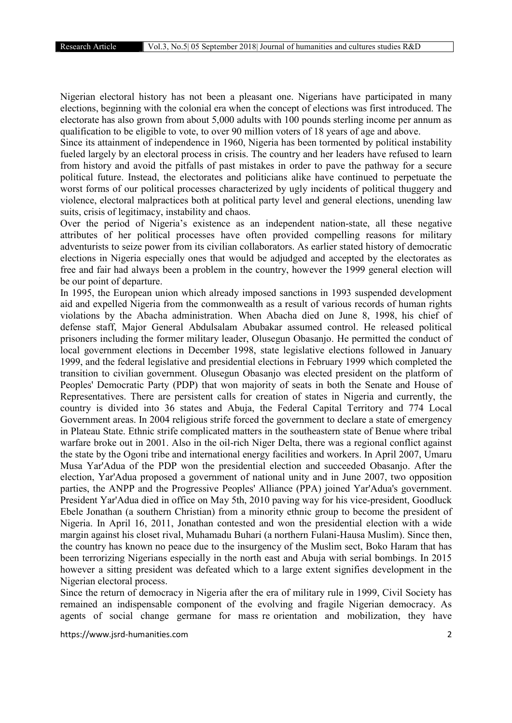Nigerian electoral history has not been a pleasant one. Nigerians have participated in many elections, beginning with the colonial era when the concept of elections was first introduced. The electorate has also grown from about 5,000 adults with 100 pounds sterling income per annum as qualification to be eligible to vote, to over 90 million voters of 18 years of age and above.

Since its attainment of independence in 1960, Nigeria has been tormented by political instability fueled largely by an electoral process in crisis. The country and her leaders have refused to learn from history and avoid the pitfalls of past mistakes in order to pave the pathway for a secure political future. Instead, the electorates and politicians alike have continued to perpetuate the worst forms of our political processes characterized by ugly incidents of political thuggery and violence, electoral malpractices both at political party level and general elections, unending law suits, crisis of legitimacy, instability and chaos.

Over the period of Nigeria's existence as an independent nation-state, all these negative attributes of her political processes have often provided compelling reasons for military adventurists to seize power from its civilian collaborators. As earlier stated history of democratic elections in Nigeria especially ones that would be adjudged and accepted by the electorates as free and fair had always been a problem in the country, however the 1999 general election will be our point of departure.

In 1995, the European union which already imposed sanctions in 1993 suspended development aid and expelled Nigeria from the commonwealth as a result of various records of human rights violations by the Abacha administration. When Abacha died on June 8, 1998, his chief of defense staff, Major General Abdulsalam Abubakar assumed control. He released political prisoners including the former military leader, Olusegun Obasanjo. He permitted the conduct of local government elections in December 1998, state legislative elections followed in January 1999, and the federal legislative and presidential elections in February 1999 which completed the transition to civilian government. Olusegun Obasanjo was elected president on the platform of Peoples' Democratic Party (PDP) that won majority of seats in both the Senate and House of Representatives. There are persistent calls for creation of states in Nigeria and currently, the country is divided into 36 states and Abuja, the Federal Capital Territory and 774 Local Government areas. In 2004 religious strife forced the government to declare a state of emergency in Plateau State. Ethnic strife complicated matters in the southeastern state of Benue where tribal warfare broke out in 2001. Also in the oil-rich Niger Delta, there was a regional conflict against the state by the Ogoni tribe and international energy facilities and workers. In April 2007, Umaru Musa Yar'Adua of the PDP won the presidential election and succeeded Obasanjo. After the election, Yar'Adua proposed a government of national unity and in June 2007, two opposition parties, the ANPP and the Progressive Peoples' Alliance (PPA) joined Yar'Adua's government. President Yar'Adua died in office on May 5th, 2010 paving way for his vice-president, Goodluck Ebele Jonathan (a southern Christian) from a minority ethnic group to become the president of Nigeria. In April 16, 2011, Jonathan contested and won the presidential election with a wide margin against his closet rival, Muhamadu Buhari (a northern Fulani-Hausa Muslim). Since then, the country has known no peace due to the insurgency of the Muslim sect, Boko Haram that has been terrorizing Nigerians especially in the north east and Abuja with serial bombings. In 2015 however a sitting president was defeated which to a large extent signifies development in the Nigerian electoral process.

Since the return of democracy in Nigeria after the era of military rule in 1999, Civil Society has remained an indispensable component of the evolving and fragile Nigerian democracy. As agents of social change germane for mass re orientation and mobilization, they have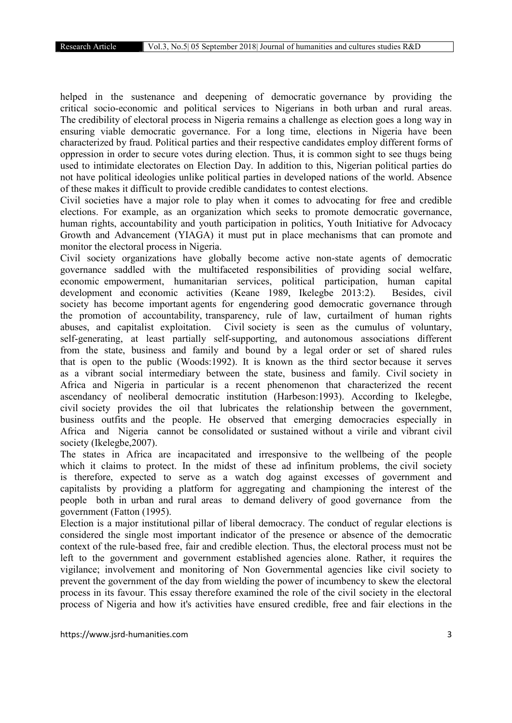helped in the sustenance and deepening of democratic governance by providing the critical socio-economic and political services to Nigerians in both urban and rural areas. The credibility of electoral process in Nigeria remains a challenge as election goes a long way in ensuring viable democratic governance. For a long time, elections in Nigeria have been characterized by fraud. Political parties and their respective candidates employ different forms of oppression in order to secure votes during election. Thus, it is common sight to see thugs being used to intimidate electorates on Election Day. In addition to this, Nigerian political parties do not have political ideologies unlike political parties in developed nations of the world. Absence of these makes it difficult to provide credible candidates to contest elections.

Civil societies have a major role to play when it comes to advocating for free and credible elections. For example, as an organization which seeks to promote democratic governance, human rights, accountability and youth participation in politics, Youth Initiative for Advocacy Growth and Advancement (YIAGA) it must put in place mechanisms that can promote and monitor the electoral process in Nigeria.

Civil society organizations have globally become active non-state agents of democratic governance saddled with the multifaceted responsibilities of providing social welfare, economic empowerment, humanitarian services, political participation, human capital development and economic activities (Keane 1989, Ikelegbe 2013:2). Besides, civil society has become important agents for engendering good democratic governance through the promotion of accountability, transparency, rule of law, curtailment of human rights abuses, and capitalist exploitation. Civil society is seen as the cumulus of voluntary, self-generating, at least partially self-supporting, and autonomous associations different from the state, business and family and bound by a legal order or set of shared rules that is open to the public (Woods:1992). It is known as the third sector because it serves as a vibrant social intermediary between the state, business and family. Civil society in Africa and Nigeria in particular is a recent phenomenon that characterized the recent ascendancy of neoliberal democratic institution (Harbeson:1993). According to Ikelegbe, civil society provides the oil that lubricates the relationship between the government, business outfits and the people. He observed that emerging democracies especially in Africa and Nigeria cannot be consolidated or sustained without a virile and vibrant civil society (Ikelegbe,2007).

The states in Africa are incapacitated and irresponsive to the wellbeing of the people which it claims to protect. In the midst of these ad infinitum problems, the civil society is therefore, expected to serve as a watch dog against excesses of government and capitalists by providing a platform for aggregating and championing the interest of the people both in urban and rural areas to demand delivery of good governance from the government (Fatton (1995).

Election is a major institutional pillar of liberal democracy. The conduct of regular elections is considered the single most important indicator of the presence or absence of the democratic context of the rule-based free, fair and credible election. Thus, the electoral process must not be left to the government and government established agencies alone. Rather, it requires the vigilance; involvement and monitoring of Non Governmental agencies like civil society to prevent the government of the day from wielding the power of incumbency to skew the electoral process in its favour. This essay therefore examined the role of the civil society in the electoral process of Nigeria and how it's activities have ensured credible, free and fair elections in the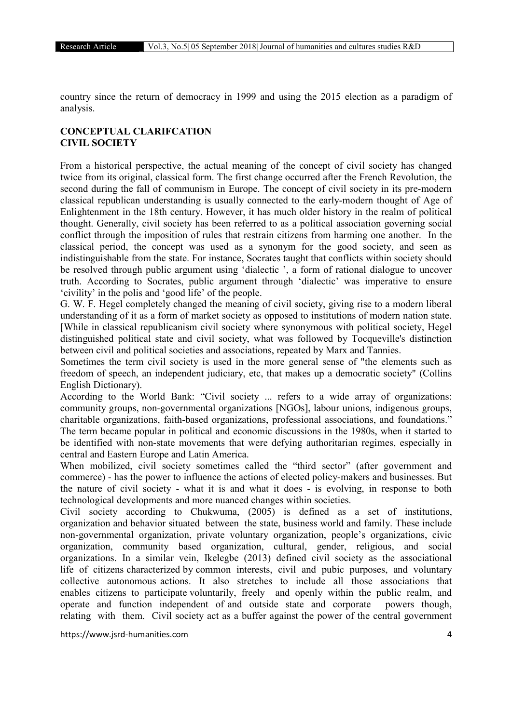country since the return of democracy in 1999 and using the 2015 election as a paradigm of analysis.

## CONCEPTUAL CLARIFCATION CIVIL SOCIETY

From a historical perspective, the actual meaning of the concept of civil society has changed twice from its original, classical form. The first change occurred after the French Revolution, the second during the fall of communism in Europe. The concept of civil society in its pre-modern classical republican understanding is usually connected to the early-modern thought of Age of Enlightenment in the 18th century. However, it has much older history in the realm of political thought. Generally, civil society has been referred to as a political association governing social conflict through the imposition of rules that restrain citizens from harming one another. In the classical period, the concept was used as a synonym for the good society, and seen as indistinguishable from the state. For instance, Socrates taught that conflicts within society should be resolved through public argument using 'dialectic ', a form of rational dialogue to uncover truth. According to Socrates, public argument through 'dialectic' was imperative to ensure 'civility' in the polis and 'good life' of the people.

G. W. F. Hegel completely changed the meaning of civil society, giving rise to a modern liberal understanding of it as a form of market society as opposed to institutions of modern nation state. [While in classical republicanism civil society where synonymous with political society, Hegel distinguished political state and civil society, what was followed by Tocqueville's distinction between civil and political societies and associations, repeated by Marx and Tannies.

Sometimes the term civil society is used in the more general sense of "the elements such as freedom of speech, an independent judiciary, etc, that makes up a democratic society" (Collins English Dictionary).

According to the World Bank: "Civil society ... refers to a wide array of organizations: community groups, non-governmental organizations [NGOs], labour unions, indigenous groups, charitable organizations, faith-based organizations, professional associations, and foundations." The term became popular in political and economic discussions in the 1980s, when it started to be identified with non-state movements that were defying authoritarian regimes, especially in central and Eastern Europe and Latin America.

When mobilized, civil society sometimes called the "third sector" (after government and commerce) - has the power to influence the actions of elected policy-makers and businesses. But the nature of civil society - what it is and what it does - is evolving, in response to both technological developments and more nuanced changes within societies.

Civil society according to Chukwuma, (2005) is defined as a set of institutions, organization and behavior situated between the state, business world and family. These include non-governmental organization, private voluntary organization, people's organizations, civic organization, community based organization, cultural, gender, religious, and social organizations. In a similar vein, Ikelegbe (2013) defined civil society as the associational life of citizens characterized by common interests, civil and pubic purposes, and voluntary collective autonomous actions. It also stretches to include all those associations that enables citizens to participate voluntarily, freely and openly within the public realm, and operate and function independent of and outside state and corporate powers though, relating with them. Civil society act as a buffer against the power of the central government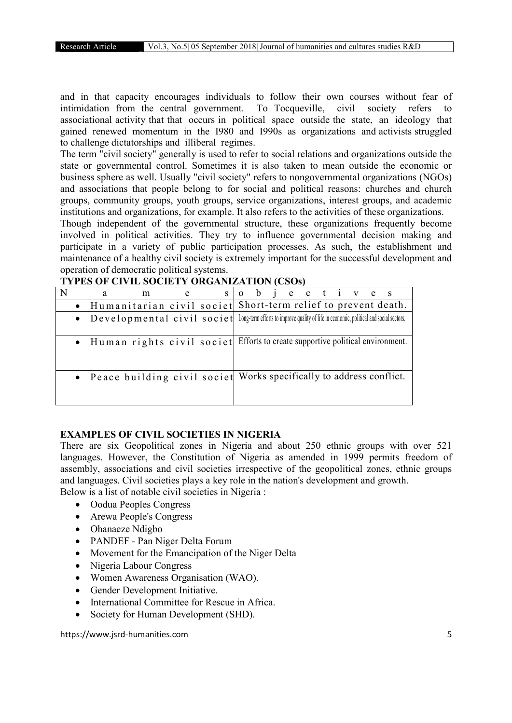and in that capacity encourages individuals to follow their own courses without fear of intimidation from the central government. To Tocqueville, civil society refers to associational activity that that occurs in political space outside the state, an ideology that gained renewed momentum in the I980 and I990s as organizations and activists struggled to challenge dictatorships and illiberal regimes.

The term "civil society" generally is used to refer to social relations and organizations outside the state or governmental control. Sometimes it is also taken to mean outside the economic or business sphere as well. Usually "civil society" refers to nongovernmental organizations (NGOs) and associations that people belong to for social and political reasons: churches and church groups, community groups, youth groups, service organizations, interest groups, and academic institutions and organizations, for example. It also refers to the activities of these organizations.

Though independent of the governmental structure, these organizations frequently become involved in political activities. They try to influence governmental decision making and participate in a variety of public participation processes. As such, the establishment and maintenance of a healthy civil society is extremely important for the successful development and operation of democratic political systems.

|  | a | m                                                                                                                    | e | S | $\Omega$ | b |  | je ctive |  |  | $\mathbf S$ |
|--|---|----------------------------------------------------------------------------------------------------------------------|---|---|----------|---|--|----------|--|--|-------------|
|  |   | • Humanitarian civil societ Short-term relief to prevent death.                                                      |   |   |          |   |  |          |  |  |             |
|  |   | • Developmental civil societ Long-term efforts to improve quality of life in economic, political and social sectors. |   |   |          |   |  |          |  |  |             |
|  |   | • Human rights civil societ Efforts to create supportive political environment.                                      |   |   |          |   |  |          |  |  |             |
|  |   | • Peace building civil societ Works specifically to address conflict.                                                |   |   |          |   |  |          |  |  |             |

#### TYPES OF CIVIL SOCIETY ORGANIZATION (CSOs)

#### EXAMPLES OF CIVIL SOCIETIES IN NIGERIA

There are six Geopolitical zones in Nigeria and about 250 ethnic groups with over 521 languages. However, the Constitution of Nigeria as amended in 1999 permits freedom of assembly, associations and civil societies irrespective of the geopolitical zones, ethnic groups and languages. Civil societies plays a key role in the nation's development and growth. Below is a list of notable civil societies in Nigeria :

- Oodua Peoples Congress
- Arewa People's Congress
- Ohanaeze Ndigbo
- PANDEF Pan Niger Delta Forum
- Movement for the Emancipation of the Niger Delta
- Nigeria Labour Congress
- Women Awareness Organisation (WAO).
- Gender Development Initiative.
- International Committee for Rescue in Africa.
- Society for Human Development (SHD).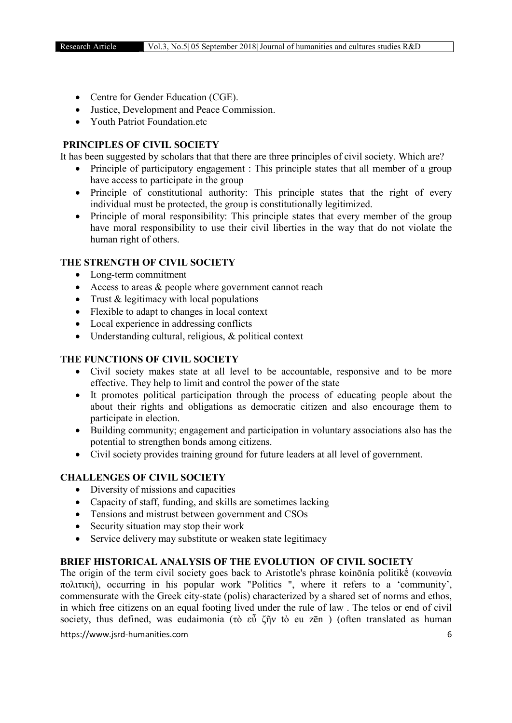- Centre for Gender Education (CGE).
- Justice, Development and Peace Commission.
- Youth Patriot Foundation etc.

## PRINCIPLES OF CIVIL SOCIETY

It has been suggested by scholars that that there are three principles of civil society. Which are?

- Principle of participatory engagement : This principle states that all member of a group have access to participate in the group
- Principle of constitutional authority: This principle states that the right of every individual must be protected, the group is constitutionally legitimized.
- Principle of moral responsibility: This principle states that every member of the group have moral responsibility to use their civil liberties in the way that do not violate the human right of others.

## THE STRENGTH OF CIVIL SOCIETY

- Long-term commitment
- Access to areas & people where government cannot reach
- Trust  $&$  legitimacy with local populations
- Flexible to adapt to changes in local context
- Local experience in addressing conflicts
- Understanding cultural, religious, & political context

## THE FUNCTIONS OF CIVIL SOCIETY

- Civil society makes state at all level to be accountable, responsive and to be more effective. They help to limit and control the power of the state
- It promotes political participation through the process of educating people about the about their rights and obligations as democratic citizen and also encourage them to participate in election.
- Building community; engagement and participation in voluntary associations also has the potential to strengthen bonds among citizens.
- Civil society provides training ground for future leaders at all level of government.

## CHALLENGES OF CIVIL SOCIETY

- Diversity of missions and capacities
- Capacity of staff, funding, and skills are sometimes lacking
- Tensions and mistrust between government and CSOs
- Security situation may stop their work
- Service delivery may substitute or weaken state legitimacy

## BRIEF HISTORICAL ANALYSIS OF THE EVOLUTION OF CIVIL SOCIETY

The origin of the term civil society goes back to Aristotle's phrase koinōnía politikḗ (κοινωνία πολιτική), occurring in his popular work "Politics ", where it refers to a 'community', commensurate with the Greek city-state (polis) characterized by a shared set of norms and ethos, in which free citizens on an equal footing lived under the rule of law . The telos or end of civil society, thus defined, was eudaimonia (τὸ εὖ ζῆν tò eu zēn) (often translated as human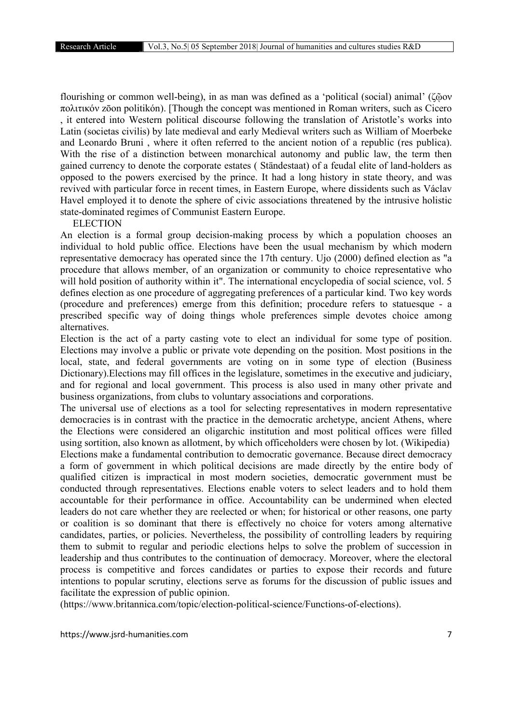flourishing or common well-being), in as man was defined as a 'political (social) animal' (ζῷον πολιτικόν zōon politikón). [Though the concept was mentioned in Roman writers, such as Cicero , it entered into Western political discourse following the translation of Aristotle's works into Latin (societas civilis) by late medieval and early Medieval writers such as William of Moerbeke and Leonardo Bruni , where it often referred to the ancient notion of a republic (res publica). With the rise of a distinction between monarchical autonomy and public law, the term then gained currency to denote the corporate estates ( Ständestaat) of a feudal elite of land-holders as opposed to the powers exercised by the prince. It had a long history in state theory, and was revived with particular force in recent times, in Eastern Europe, where dissidents such as Václav Havel employed it to denote the sphere of civic associations threatened by the intrusive holistic state-dominated regimes of Communist Eastern Europe.

#### **ELECTION**

An election is a formal group decision-making process by which a population chooses an individual to hold public office. Elections have been the usual mechanism by which modern representative democracy has operated since the 17th century. Ujo (2000) defined election as "a procedure that allows member, of an organization or community to choice representative who will hold position of authority within it". The international encyclopedia of social science, vol. 5 defines election as one procedure of aggregating preferences of a particular kind. Two key words (procedure and preferences) emerge from this definition; procedure refers to statuesque - a prescribed specific way of doing things whole preferences simple devotes choice among alternatives.

Election is the act of a party casting vote to elect an individual for some type of position. Elections may involve a public or private vote depending on the position. Most positions in the local, state, and federal governments are voting on in some type of election (Business Dictionary).Elections may fill offices in the legislature, sometimes in the executive and judiciary, and for regional and local government. This process is also used in many other private and business organizations, from clubs to voluntary associations and corporations.

The universal use of elections as a tool for selecting representatives in modern representative democracies is in contrast with the practice in the democratic archetype, ancient Athens, where the Elections were considered an oligarchic institution and most political offices were filled using sortition, also known as allotment, by which officeholders were chosen by lot. (Wikipedia) Elections make a fundamental contribution to democratic governance. Because direct democracy a form of government in which political decisions are made directly by the entire body of qualified citizen is impractical in most modern societies, democratic government must be conducted through representatives. Elections enable voters to select leaders and to hold them accountable for their performance in office. Accountability can be undermined when elected leaders do not care whether they are reelected or when; for historical or other reasons, one party or coalition is so dominant that there is effectively no choice for voters among alternative candidates, parties, or policies. Nevertheless, the possibility of controlling leaders by requiring them to submit to regular and periodic elections helps to solve the problem of succession in leadership and thus contributes to the continuation of democracy. Moreover, where the electoral process is competitive and forces candidates or parties to expose their records and future intentions to popular scrutiny, elections serve as forums for the discussion of public issues and facilitate the expression of public opinion.

(https://www.britannica.com/topic/election-political-science/Functions-of-elections).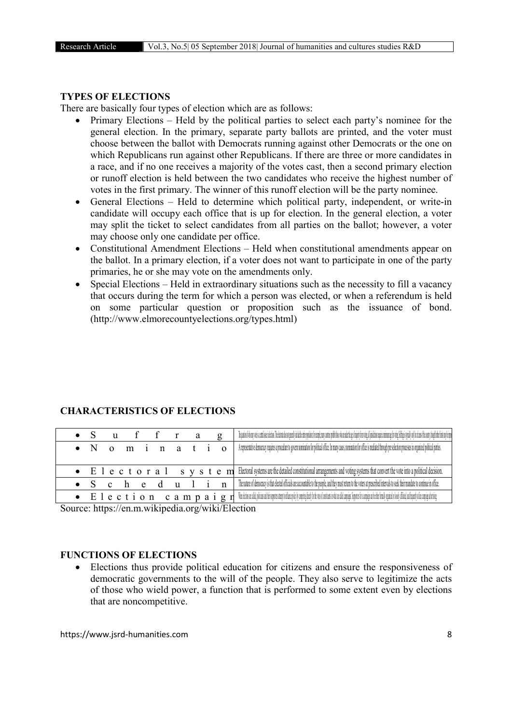#### TYPES OF ELECTIONS

There are basically four types of election which are as follows:

- Primary Elections Held by the political parties to select each party's nominee for the general election. In the primary, separate party ballots are printed, and the voter must choose between the ballot with Democrats running against other Democrats or the one on which Republicans run against other Republicans. If there are three or more candidates in a race, and if no one receives a majority of the votes cast, then a second primary election or runoff election is held between the two candidates who receive the highest number of votes in the first primary. The winner of this runoff election will be the party nominee.
- General Elections Held to determine which political party, independent, or write-in candidate will occupy each office that is up for election. In the general election, a voter may split the ticket to select candidates from all parties on the ballot; however, a voter may choose only one candidate per office.
- Constitutional Amendment Elections Held when constitutional amendments appear on the ballot. In a primary election, if a voter does not want to participate in one of the party primaries, he or she may vote on the amendments only.
- Special Elections Held in extraordinary situations such as the necessity to fill a vacancy that occurs during the term for which a person was elected, or when a referendum is held on some particular question or proposition such as the issuance of bond. (http://www.elmorecountyelections.org/types.html)

|  |  |      | ffra  |  |  |                                                                                                                                                                                                                                                |
|--|--|------|-------|--|--|------------------------------------------------------------------------------------------------------------------------------------------------------------------------------------------------------------------------------------------------|
|  |  |      |       |  |  | <b>O n</b> i <b>n</b> a <b>t</b> i <b>O</b> Ateneentaine democratiquies a procedure to given nomination for policed office a material contact for the excelence of police is mediated through present to process in organized policed parties. |
|  |  |      |       |  |  |                                                                                                                                                                                                                                                |
|  |  |      |       |  |  | • E 1 e c t o r a 1 s y s t e m Electoral systems are the detailed constitutional arrangements and voting systems that convert the vote into a political decision.                                                                             |
|  |  | $-e$ | dulin |  |  | The nature of democracy is that elected officials are accountable to the people, and they must return to the voters at prescribed intervals to seek their mandate to continue in office.                                                       |
|  |  |      |       |  |  | $\bullet$ $E$ $l$ $e$ $c$ $t$ $i$ $o$ $n$ $c$ $a$ $m$ $p$ $a$ $i$ $g$ $r$ $l$ $l$ the disorde plasted potential population of the state distribution than the product manage of the distribution of the distribution of the distrib            |

## CHARACTERISTICS OF ELECTIONS

Source: https://en.m.wikipedia.org/wiki/Election

## FUNCTIONS OF ELECTIONS

 Elections thus provide political education for citizens and ensure the responsiveness of democratic governments to the will of the people. They also serve to legitimize the acts of those who wield power, a function that is performed to some extent even by elections that are noncompetitive.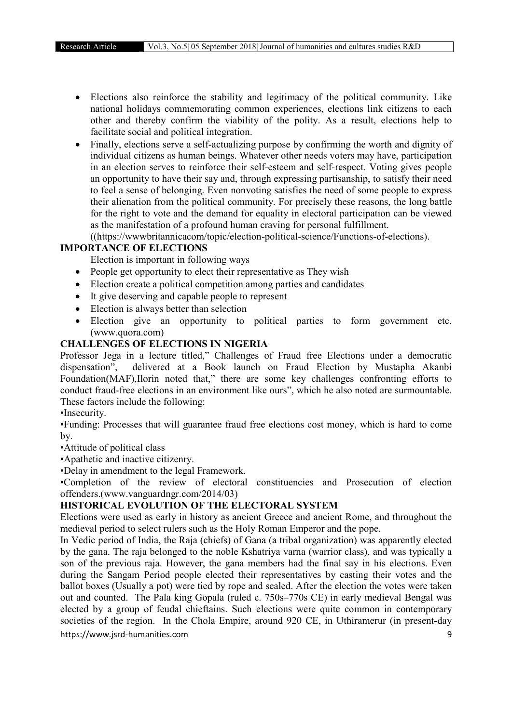- Elections also reinforce the stability and legitimacy of the political community. Like national holidays commemorating common experiences, elections link citizens to each other and thereby confirm the viability of the polity. As a result, elections help to facilitate social and political integration.
- Finally, elections serve a self-actualizing purpose by confirming the worth and dignity of individual citizens as human beings. Whatever other needs voters may have, participation in an election serves to reinforce their self-esteem and self-respect. Voting gives people an opportunity to have their say and, through expressing partisanship, to satisfy their need to feel a sense of belonging. Even nonvoting satisfies the need of some people to express their alienation from the political community. For precisely these reasons, the long battle for the right to vote and the demand for equality in electoral participation can be viewed as the manifestation of a profound human craving for personal fulfillment.

((https://wwwbritannicacom/topic/election-political-science/Functions-of-elections).

## IMPORTANCE OF ELECTIONS

Election is important in following ways

- People get opportunity to elect their representative as They wish
- Election create a political competition among parties and candidates
- It give deserving and capable people to represent
- Election is always better than selection
- Election give an opportunity to political parties to form government etc. (www.quora.com)

## CHALLENGES OF ELECTIONS IN NIGERIA

Professor Jega in a lecture titled," Challenges of Fraud free Elections under a democratic dispensation", delivered at a Book launch on Fraud Election by Mustapha Akanbi Foundation(MAF),Ilorin noted that," there are some key challenges confronting efforts to conduct fraud-free elections in an environment like ours", which he also noted are surmountable. These factors include the following:

•Insecurity.

•Funding: Processes that will guarantee fraud free elections cost money, which is hard to come by.

•Attitude of political class

•Apathetic and inactive citizenry.

•Delay in amendment to the legal Framework.

•Completion of the review of electoral constituencies and Prosecution of election offenders.(www.vanguardngr.com/2014/03)

## HISTORICAL EVOLUTION OF THE ELECTORAL SYSTEM

Elections were used as early in history as ancient Greece and ancient Rome, and throughout the medieval period to select rulers such as the Holy Roman Emperor and the pope.

https://www.jsrd-humanities.com 9 In Vedic period of India, the Raja (chiefs) of Gana (a tribal organization) was apparently elected by the gana. The raja belonged to the noble Kshatriya varna (warrior class), and was typically a son of the previous raja. However, the gana members had the final say in his elections. Even during the Sangam Period people elected their representatives by casting their votes and the ballot boxes (Usually a pot) were tied by rope and sealed. After the election the votes were taken out and counted. The Pala king Gopala (ruled c. 750s–770s CE) in early medieval Bengal was elected by a group of feudal chieftains. Such elections were quite common in contemporary societies of the region. In the Chola Empire, around 920 CE, in Uthiramerur (in present-day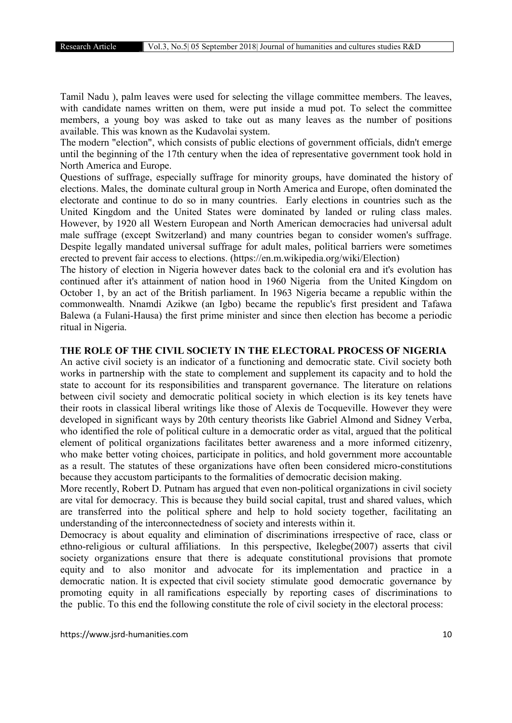Tamil Nadu ), palm leaves were used for selecting the village committee members. The leaves, with candidate names written on them, were put inside a mud pot. To select the committee members, a young boy was asked to take out as many leaves as the number of positions available. This was known as the Kudavolai system.

The modern "election", which consists of public elections of government officials, didn't emerge until the beginning of the 17th century when the idea of representative government took hold in North America and Europe.

Questions of suffrage, especially suffrage for minority groups, have dominated the history of elections. Males, the dominate cultural group in North America and Europe, often dominated the electorate and continue to do so in many countries. Early elections in countries such as the United Kingdom and the United States were dominated by landed or ruling class males. However, by 1920 all Western European and North American democracies had universal adult male suffrage (except Switzerland) and many countries began to consider women's suffrage. Despite legally mandated universal suffrage for adult males, political barriers were sometimes erected to prevent fair access to elections. (https://en.m.wikipedia.org/wiki/Election)

The history of election in Nigeria however dates back to the colonial era and it's evolution has continued after it's attainment of nation hood in 1960 Nigeria from the United Kingdom on October 1, by an act of the British parliament. In 1963 Nigeria became a republic within the commonwealth. Nnamdi Azikwe (an Igbo) became the republic's first president and Tafawa Balewa (a Fulani-Hausa) the first prime minister and since then election has become a periodic ritual in Nigeria.

#### THE ROLE OF THE CIVIL SOCIETY IN THE ELECTORAL PROCESS OF NIGERIA

An active civil society is an indicator of a functioning and democratic state. Civil society both works in partnership with the state to complement and supplement its capacity and to hold the state to account for its responsibilities and transparent governance. The literature on relations between civil society and democratic political society in which election is its key tenets have their roots in classical liberal writings like those of Alexis de Tocqueville. However they were developed in significant ways by 20th century theorists like Gabriel Almond and Sidney Verba, who identified the role of political culture in a democratic order as vital, argued that the political element of political organizations facilitates better awareness and a more informed citizenry, who make better voting choices, participate in politics, and hold government more accountable as a result. The statutes of these organizations have often been considered micro-constitutions because they accustom participants to the formalities of democratic decision making.

More recently, Robert D. Putnam has argued that even non-political organizations in civil society are vital for democracy. This is because they build social capital, trust and shared values, which are transferred into the political sphere and help to hold society together, facilitating an understanding of the interconnectedness of society and interests within it.

Democracy is about equality and elimination of discriminations irrespective of race, class or ethno-religious or cultural affiliations. In this perspective, Ikelegbe(2007) asserts that civil society organizations ensure that there is adequate constitutional provisions that promote equity and to also monitor and advocate for its implementation and practice in a democratic nation. It is expected that civil society stimulate good democratic governance by promoting equity in all ramifications especially by reporting cases of discriminations to the public. To this end the following constitute the role of civil society in the electoral process: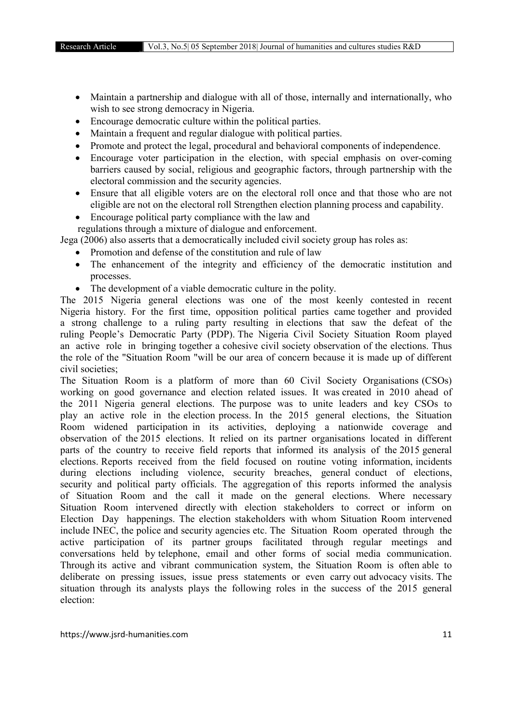- Maintain a partnership and dialogue with all of those, internally and internationally, who wish to see strong democracy in Nigeria.
- Encourage democratic culture within the political parties.
- Maintain a frequent and regular dialogue with political parties.
- Promote and protect the legal, procedural and behavioral components of independence.
- Encourage voter participation in the election, with special emphasis on over-coming barriers caused by social, religious and geographic factors, through partnership with the electoral commission and the security agencies.
- Ensure that all eligible voters are on the electoral roll once and that those who are not eligible are not on the electoral roll Strengthen election planning process and capability.
- Encourage political party compliance with the law and

regulations through a mixture of dialogue and enforcement.

Jega (2006) also asserts that a democratically included civil society group has roles as:

- Promotion and defense of the constitution and rule of law
- The enhancement of the integrity and efficiency of the democratic institution and processes.
- The development of a viable democratic culture in the polity.

The 2015 Nigeria general elections was one of the most keenly contested in recent Nigeria history. For the first time, opposition political parties came together and provided a strong challenge to a ruling party resulting in elections that saw the defeat of the ruling People's Democratic Party (PDP). The Nigeria Civil Society Situation Room played an active role in bringing together a cohesive civil society observation of the elections. Thus the role of the "Situation Room "will be our area of concern because it is made up of different civil societies;

The Situation Room is a platform of more than 60 Civil Society Organisations (CSOs) working on good governance and election related issues. It was created in 2010 ahead of the 2011 Nigeria general elections. The purpose was to unite leaders and key CSOs to play an active role in the election process. In the 2015 general elections, the Situation Room widened participation in its activities, deploying a nationwide coverage and observation of the 2015 elections. It relied on its partner organisations located in different parts of the country to receive field reports that informed its analysis of the 2015 general elections. Reports received from the field focused on routine voting information, incidents during elections including violence, security breaches, general conduct of elections, security and political party officials. The aggregation of this reports informed the analysis of Situation Room and the call it made on the general elections. Where necessary Situation Room intervened directly with election stakeholders to correct or inform on Election Day happenings. The election stakeholders with whom Situation Room intervened include INEC, the police and security agencies etc. The Situation Room operated through the active participation of its partner groups facilitated through regular meetings and conversations held by telephone, email and other forms of social media communication. Through its active and vibrant communication system, the Situation Room is often able to deliberate on pressing issues, issue press statements or even carry out advocacy visits. The situation through its analysts plays the following roles in the success of the 2015 general election: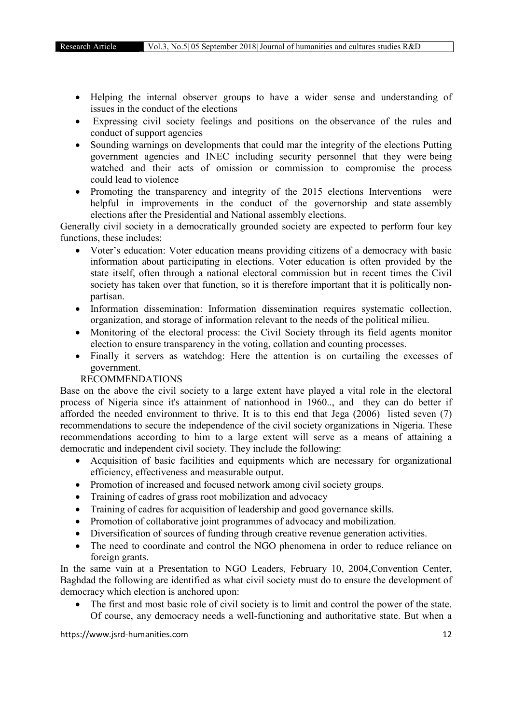- Helping the internal observer groups to have a wider sense and understanding of issues in the conduct of the elections
- Expressing civil society feelings and positions on the observance of the rules and conduct of support agencies
- Sounding warnings on developments that could mar the integrity of the elections Putting government agencies and INEC including security personnel that they were being watched and their acts of omission or commission to compromise the process could lead to violence
- Promoting the transparency and integrity of the 2015 elections Interventions were helpful in improvements in the conduct of the governorship and state assembly elections after the Presidential and National assembly elections.

Generally civil society in a democratically grounded society are expected to perform four key functions, these includes:

- Voter's education: Voter education means providing citizens of a democracy with basic information about participating in elections. Voter education is often provided by the state itself, often through a national electoral commission but in recent times the Civil society has taken over that function, so it is therefore important that it is politically nonpartisan.
- Information dissemination: Information dissemination requires systematic collection, organization, and storage of information relevant to the needs of the political milieu.
- Monitoring of the electoral process: the Civil Society through its field agents monitor election to ensure transparency in the voting, collation and counting processes.
- Finally it servers as watchdog: Here the attention is on curtailing the excesses of government.

## RECOMMENDATIONS

Base on the above the civil society to a large extent have played a vital role in the electoral process of Nigeria since it's attainment of nationhood in 1960.., and they can do better if afforded the needed environment to thrive. It is to this end that Jega (2006) listed seven (7) recommendations to secure the independence of the civil society organizations in Nigeria. These recommendations according to him to a large extent will serve as a means of attaining a democratic and independent civil society. They include the following:

- Acquisition of basic facilities and equipments which are necessary for organizational efficiency, effectiveness and measurable output.
- Promotion of increased and focused network among civil society groups.
- Training of cadres of grass root mobilization and advocacy
- Training of cadres for acquisition of leadership and good governance skills.
- Promotion of collaborative joint programmes of advocacy and mobilization.
- Diversification of sources of funding through creative revenue generation activities.
- The need to coordinate and control the NGO phenomena in order to reduce reliance on foreign grants.

In the same vain at a Presentation to NGO Leaders, February 10, 2004,Convention Center, Baghdad the following are identified as what civil society must do to ensure the development of democracy which election is anchored upon:

 The first and most basic role of civil society is to limit and control the power of the state. Of course, any democracy needs a well-functioning and authoritative state. But when a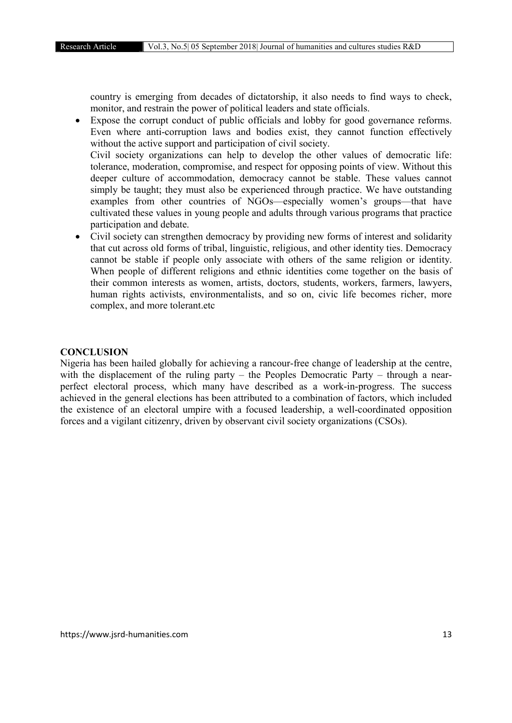country is emerging from decades of dictatorship, it also needs to find ways to check, monitor, and restrain the power of political leaders and state officials.

 Expose the corrupt conduct of public officials and lobby for good governance reforms. Even where anti-corruption laws and bodies exist, they cannot function effectively without the active support and participation of civil society. Civil society organizations can help to develop the other values of democratic life: tolerance, moderation, compromise, and respect for opposing points of view. Without this deeper culture of accommodation, democracy cannot be stable. These values cannot simply be taught; they must also be experienced through practice. We have outstanding examples from other countries of NGOs—especially women's groups—that have cultivated these values in young people and adults through various programs that practice participation and debate.

 Civil society can strengthen democracy by providing new forms of interest and solidarity that cut across old forms of tribal, linguistic, religious, and other identity ties. Democracy cannot be stable if people only associate with others of the same religion or identity. When people of different religions and ethnic identities come together on the basis of their common interests as women, artists, doctors, students, workers, farmers, lawyers, human rights activists, environmentalists, and so on, civic life becomes richer, more complex, and more tolerant.etc

#### **CONCLUSION**

Nigeria has been hailed globally for achieving a rancour-free change of leadership at the centre, with the displacement of the ruling party – the Peoples Democratic Party – through a nearperfect electoral process, which many have described as a work-in-progress. The success achieved in the general elections has been attributed to a combination of factors, which included the existence of an electoral umpire with a focused leadership, a well-coordinated opposition forces and a vigilant citizenry, driven by observant civil society organizations (CSOs).